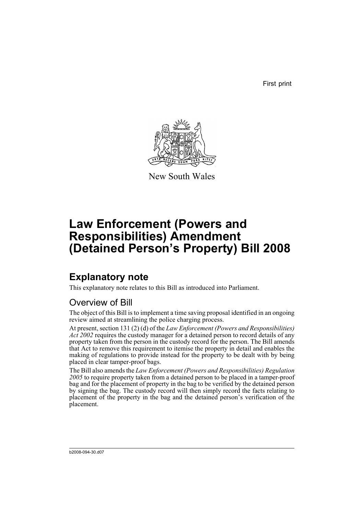First print



New South Wales

# **Law Enforcement (Powers and Responsibilities) Amendment (Detained Person's Property) Bill 2008**

## **Explanatory note**

This explanatory note relates to this Bill as introduced into Parliament.

## Overview of Bill

The object of this Bill is to implement a time saving proposal identified in an ongoing review aimed at streamlining the police charging process.

At present, section 131 (2) (d) of the *Law Enforcement (Powers and Responsibilities) Act 2002* requires the custody manager for a detained person to record details of any property taken from the person in the custody record for the person. The Bill amends that Act to remove this requirement to itemise the property in detail and enables the making of regulations to provide instead for the property to be dealt with by being placed in clear tamper-proof bags.

The Bill also amends the *Law Enforcement (Powers and Responsibilities) Regulation 2005* to require property taken from a detained person to be placed in a tamper-proof bag and for the placement of property in the bag to be verified by the detained person by signing the bag. The custody record will then simply record the facts relating to placement of the property in the bag and the detained person's verification of the placement.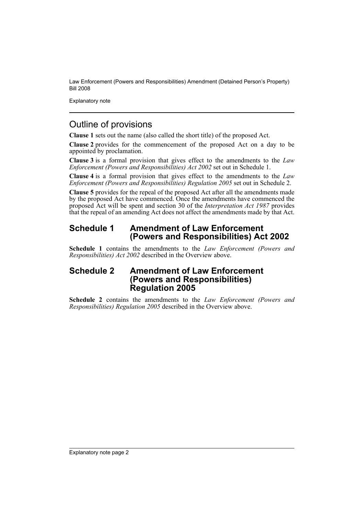Explanatory note

### Outline of provisions

**Clause 1** sets out the name (also called the short title) of the proposed Act.

**Clause 2** provides for the commencement of the proposed Act on a day to be appointed by proclamation.

**Clause 3** is a formal provision that gives effect to the amendments to the *Law Enforcement (Powers and Responsibilities) Act 2002* set out in Schedule 1.

**Clause 4** is a formal provision that gives effect to the amendments to the *Law Enforcement (Powers and Responsibilities) Regulation 2005* set out in Schedule 2.

**Clause 5** provides for the repeal of the proposed Act after all the amendments made by the proposed Act have commenced. Once the amendments have commenced the proposed Act will be spent and section 30 of the *Interpretation Act 1987* provides that the repeal of an amending Act does not affect the amendments made by that Act.

### **Schedule 1 Amendment of Law Enforcement (Powers and Responsibilities) Act 2002**

**Schedule 1** contains the amendments to the *Law Enforcement (Powers and Responsibilities) Act 2002* described in the Overview above.

### **Schedule 2 Amendment of Law Enforcement (Powers and Responsibilities) Regulation 2005**

**Schedule 2** contains the amendments to the *Law Enforcement (Powers and Responsibilities) Regulation 2005* described in the Overview above.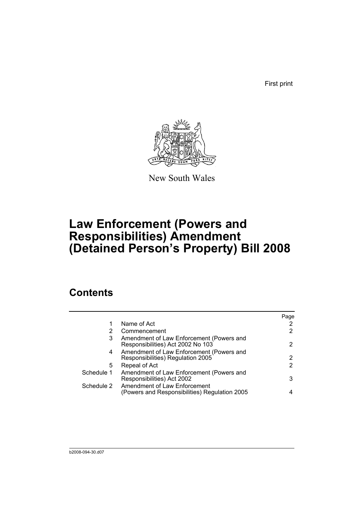First print



New South Wales

# **Law Enforcement (Powers and Responsibilities) Amendment (Detained Person's Property) Bill 2008**

## **Contents**

|            |                                                                               | Page |
|------------|-------------------------------------------------------------------------------|------|
| 1          | Name of Act                                                                   |      |
|            | Commencement                                                                  | 2    |
| 3          | Amendment of Law Enforcement (Powers and<br>Responsibilities) Act 2002 No 103 | 2    |
| 4          | Amendment of Law Enforcement (Powers and<br>Responsibilities) Regulation 2005 | 2    |
| 5          | Repeal of Act                                                                 | 2    |
| Schedule 1 | Amendment of Law Enforcement (Powers and<br>Responsibilities) Act 2002        | 3    |
| Schedule 2 | Amendment of Law Enforcement<br>(Powers and Responsibilities) Regulation 2005 |      |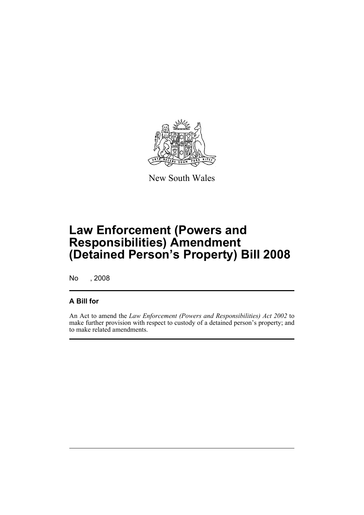

New South Wales

# **Law Enforcement (Powers and Responsibilities) Amendment (Detained Person's Property) Bill 2008**

No , 2008

### **A Bill for**

An Act to amend the *Law Enforcement (Powers and Responsibilities) Act 2002* to make further provision with respect to custody of a detained person's property; and to make related amendments.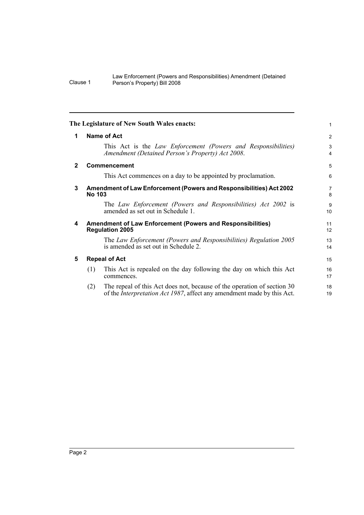<span id="page-5-4"></span><span id="page-5-3"></span><span id="page-5-2"></span><span id="page-5-1"></span><span id="page-5-0"></span>

|              |               | The Legislature of New South Wales enacts:                                                                                                        | $\mathbf{1}$                 |
|--------------|---------------|---------------------------------------------------------------------------------------------------------------------------------------------------|------------------------------|
| 1            |               | Name of Act                                                                                                                                       | 2                            |
|              |               | This Act is the Law Enforcement (Powers and Responsibilities)<br>Amendment (Detained Person's Property) Act 2008.                                 | 3<br>$\overline{\mathbf{4}}$ |
| $\mathbf{2}$ |               | <b>Commencement</b>                                                                                                                               | 5                            |
|              |               | This Act commences on a day to be appointed by proclamation.                                                                                      | 6                            |
| 3            | <b>No 103</b> | Amendment of Law Enforcement (Powers and Responsibilities) Act 2002                                                                               | $\overline{7}$<br>8          |
|              |               | The Law Enforcement (Powers and Responsibilities) Act 2002 is<br>amended as set out in Schedule 1.                                                | 9<br>10                      |
| 4            |               | <b>Amendment of Law Enforcement (Powers and Responsibilities)</b><br><b>Regulation 2005</b>                                                       | 11<br>12                     |
|              |               | The Law Enforcement (Powers and Responsibilities) Regulation 2005<br>is amended as set out in Schedule 2.                                         | 13<br>14                     |
| 5            |               | <b>Repeal of Act</b>                                                                                                                              | 15                           |
|              | (1)           | This Act is repealed on the day following the day on which this Act<br>commences.                                                                 | 16<br>17                     |
|              | (2)           | The repeal of this Act does not, because of the operation of section 30<br>of the Interpretation Act 1987, affect any amendment made by this Act. | 18<br>19                     |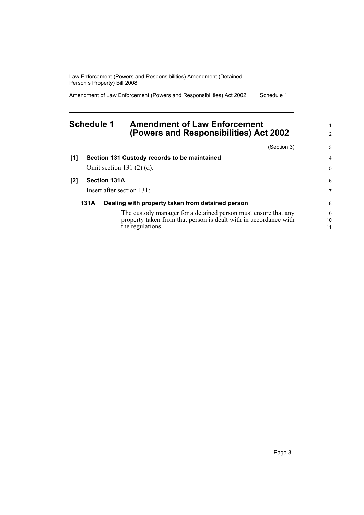Amendment of Law Enforcement (Powers and Responsibilities) Act 2002 Schedule 1

### <span id="page-6-0"></span>**Schedule 1 Amendment of Law Enforcement (Powers and Responsibilities) Act 2002**

|     |      | (Section 3)                                                      | 3  |
|-----|------|------------------------------------------------------------------|----|
| [1] |      | Section 131 Custody records to be maintained                     | 4  |
|     |      | Omit section 131 $(2)$ $(d)$ .                                   | 5  |
| [2] |      | <b>Section 131A</b>                                              | 6  |
|     |      | Insert after section 131:                                        | 7  |
|     | 131A | Dealing with property taken from detained person                 | 8  |
|     |      | The custody manager for a detained person must ensure that any   | 9  |
|     |      | property taken from that person is dealt with in accordance with | 10 |
|     |      | the regulations.                                                 | 11 |

1 2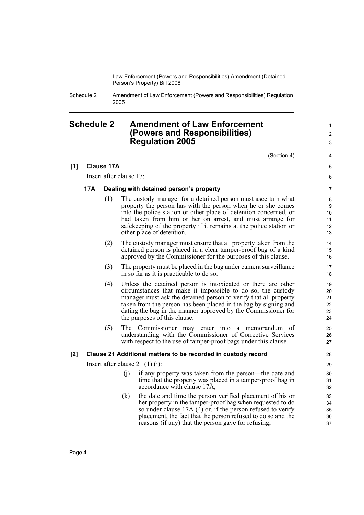Schedule 2 Amendment of Law Enforcement (Powers and Responsibilities) Regulation 2005

### <span id="page-7-0"></span>**Schedule 2 Amendment of Law Enforcement (Powers and Responsibilities) Regulation 2005**

(Section 4)

1  $\mathfrak{p}$ 3

4 5 6

#### **[1] Clause 17A**

Insert after clause 17:

#### **17A Dealing with detained person's property**

- (1) The custody manager for a detained person must ascertain what property the person has with the person when he or she comes into the police station or other place of detention concerned, or had taken from him or her on arrest, and must arrange for safekeeping of the property if it remains at the police station or other place of detention.
- (2) The custody manager must ensure that all property taken from the detained person is placed in a clear tamper-proof bag of a kind approved by the Commissioner for the purposes of this clause.
- (3) The property must be placed in the bag under camera surveillance in so far as it is practicable to do so.
- (4) Unless the detained person is intoxicated or there are other circumstances that make it impossible to do so, the custody manager must ask the detained person to verify that all property taken from the person has been placed in the bag by signing and dating the bag in the manner approved by the Commissioner for the purposes of this clause.
- (5) The Commissioner may enter into a memorandum of understanding with the Commissioner of Corrective Services with respect to the use of tamper-proof bags under this clause.

#### **[2] Clause 21 Additional matters to be recorded in custody record**

Insert after clause 21 (1) (i):

- (j) if any property was taken from the person—the date and time that the property was placed in a tamper-proof bag in accordance with clause 17A,
- (k) the date and time the person verified placement of his or her property in the tamper-proof bag when requested to do so under clause 17A  $(\overline{4})$  or, if the person refused to verify placement, the fact that the person refused to do so and the reasons (if any) that the person gave for refusing,